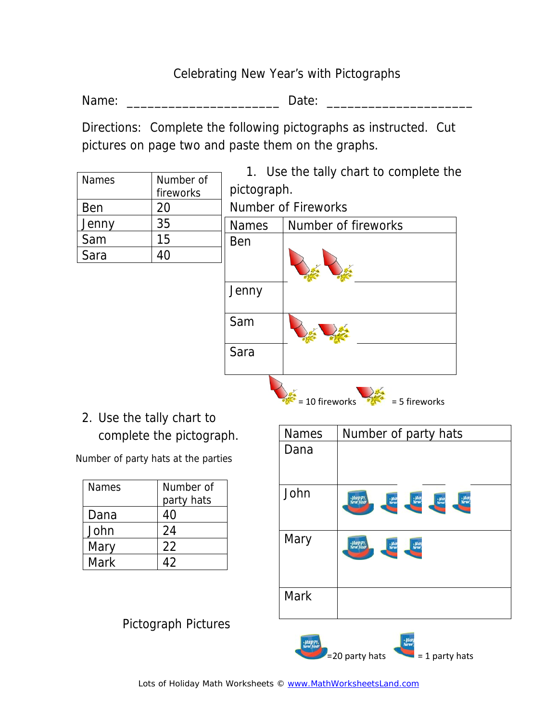## Celebrating New Year's with Pictographs

Name: \_\_\_\_\_\_\_\_\_\_\_\_\_\_\_\_\_\_\_\_\_\_ Date: \_\_\_\_\_\_\_\_\_\_\_\_\_\_\_\_\_\_\_\_\_

Directions: Complete the following pictographs as instructed. Cut pictures on page two and paste them on the graphs.

| <b>Names</b><br>Ben | Number of<br>fireworks<br>20 | 1. Use the tally chart to complete the<br>pictograph.<br>Number of Fireworks |                                   |
|---------------------|------------------------------|------------------------------------------------------------------------------|-----------------------------------|
| Jenny               | 35                           | <b>Names</b>                                                                 | Number of fireworks               |
| Sam                 | 15                           | Ben                                                                          |                                   |
| Sara                | 40                           |                                                                              |                                   |
|                     |                              | Jenny                                                                        |                                   |
|                     |                              | Sam                                                                          |                                   |
|                     |                              | Sara                                                                         |                                   |
|                     |                              |                                                                              | = 10 fireworks<br>$= 5$ fireworks |

2. Use the tally chart to complete the pictograph.

Number of party hats at the parties

| <b>Names</b> | Number of<br>party hats |
|--------------|-------------------------|
| Dana         | 40                      |
| John         | 24                      |
| Mary         | 22                      |
| Mark         | 42                      |

| <b>Names</b> | Number of party hats                                                        |
|--------------|-----------------------------------------------------------------------------|
| Dana         |                                                                             |
| John         | Ha<br>New<br>$\frac{\mu}{\sqrt{2}}$<br>Happy,<br>$rac{H\sigma}{N_{\rm CW}}$ |
| Mary         | Happy.<br>New Yea<br>Ha<br>New<br>Ho                                        |
| <b>Mark</b>  |                                                                             |

Pictograph Pictures

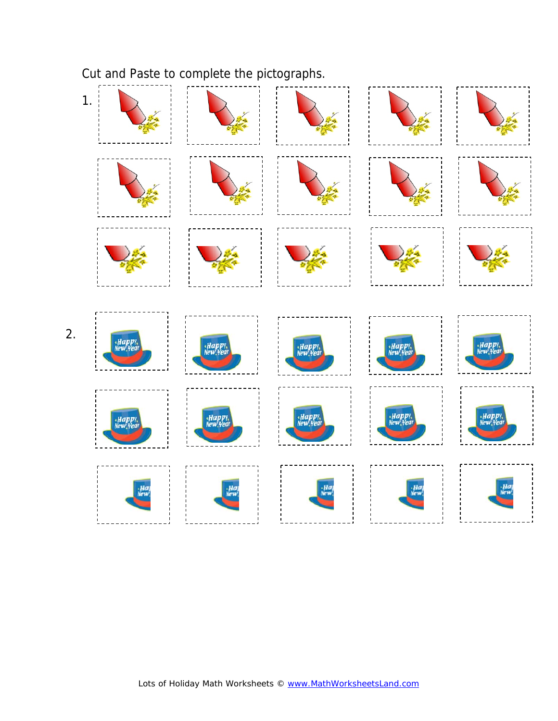